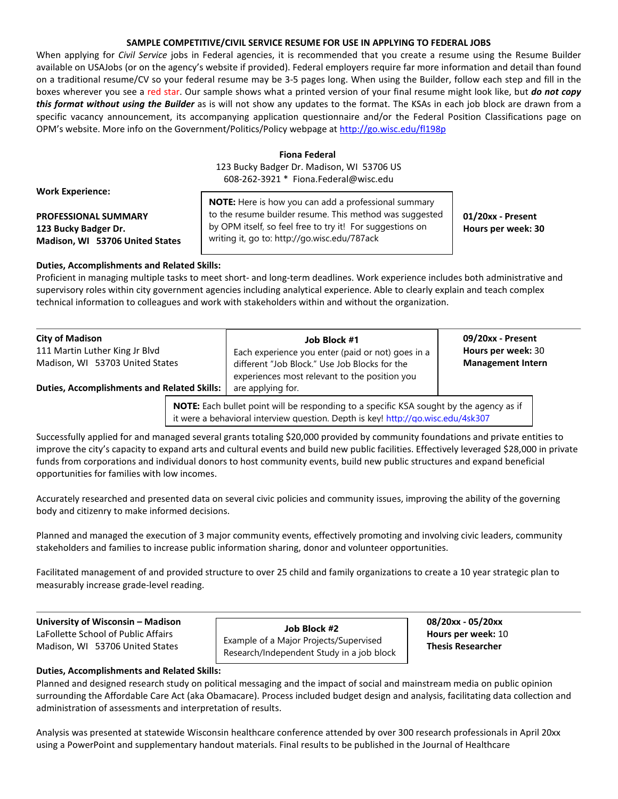# **SAMPLE COMPETITIVE/CIVIL SERVICE RESUME FOR USE IN APPLYING TO FEDERAL JOBS**

When applying for *Civil Service* jobs in Federal agencies, it is recommended that you create a resume using the Resume Builder available on USAJobs (or on the agency's website if provided). Federal employers require far more information and detail than found on a traditional resume/CV so your federal resume may be 3-5 pages long. When using the Builder, follow each step and fill in the boxes wherever you see a red star. Our sample shows what a printed version of your final resume might look like, but *do not copy this format without using the Builder* as is will not show any updates to the format. The KSAs in each job block are drawn from a specific vacancy announcement, its accompanying application questionnaire and/or the Federal Position Classifications page on OPM's website. More info on the Government/Politics/Policy webpage a[t http://go.wisc.edu/fl198p](http://go.wisc.edu/fl198p)

# **Fiona Federal**

123 Bucky Badger Dr. Madison, WI 53706 US 608-262-3921 \* Fiona.Federal@wisc.edu

**Work Experience:**

**Madison, WI 53706 United States**

**PROFESSIONAL SUMMARY 12.1** to the resume builder resume. This method was suggested **120xx - Present 123 Bucky Badger Dr. Hours per week: 30 h** by OPM itself, so feel free to try it! For suggestions on **Hours per week: 30 NOTE:** Here is how you can add a professional summary writing it, go to: http://go.wisc.edu/787ack

**Duties, Accomplishments and Related Skills:**

Proficient in managing multiple tasks to meet short- and long-term deadlines. Work experience includes both administrative and supervisory roles within city government agencies including analytical experience. Able to clearly explain and teach complex technical information to colleagues and work with stakeholders within and without the organization.

| <b>City of Madison</b><br>111 Martin Luther King Jr Blvd<br>Madison, WI 53703 United States<br><b>Duties, Accomplishments and Related Skills:</b> | Job Block #1<br>Each experience you enter (paid or not) goes in a<br>different "Job Block." Use Job Blocks for the<br>experiences most relevant to the position you<br>are applying for. | 09/20xx - Present<br>Hours per week: 30<br><b>Management Intern</b> |
|---------------------------------------------------------------------------------------------------------------------------------------------------|------------------------------------------------------------------------------------------------------------------------------------------------------------------------------------------|---------------------------------------------------------------------|
|                                                                                                                                                   | <b>NOTE:</b> Each bullet point will be responding to a specific KSA sought by the agency as if                                                                                           |                                                                     |

it were a behavioral interview question. Depth is key!<http://go.wisc.edu/4sk307>

Successfully applied for and managed several grants totaling \$20,000 provided by community foundations and private entities to improve the city's capacity to expand arts and cultural events and build new public facilities. Effectively leveraged \$28,000 in private funds from corporations and individual donors to host community events, build new public structures and expand beneficial opportunities for families with low incomes.

Accurately researched and presented data on several civic policies and community issues, improving the ability of the governing body and citizenry to make informed decisions.

Planned and managed the execution of 3 major community events, effectively promoting and involving civic leaders, community stakeholders and families to increase public information sharing, donor and volunteer opportunities.

Facilitated management of and provided structure to over 25 child and family organizations to create a 10 year strategic plan to measurably increase grade-level reading.

**University of Wisconsin – Madison 08/20xx - 05/20xx**

LaFollette School of Public Affairs **Hours per week:** 10 Madison, WI 53706 United States **Thesis Researcher Job Block #2** Example of a Major Projects/Supervised Research/Independent Study in a job block

# **Duties, Accomplishments and Related Skills:**

Planned and designed research study on political messaging and the impact of social and mainstream media on public opinion surrounding the Affordable Care Act (aka Obamacare). Process included budget design and analysis, facilitating data collection and administration of assessments and interpretation of results.

Analysis was presented at statewide Wisconsin healthcare conference attended by over 300 research professionals in April 20xx using a PowerPoint and supplementary handout materials. Final results to be published in the Journal of Healthcare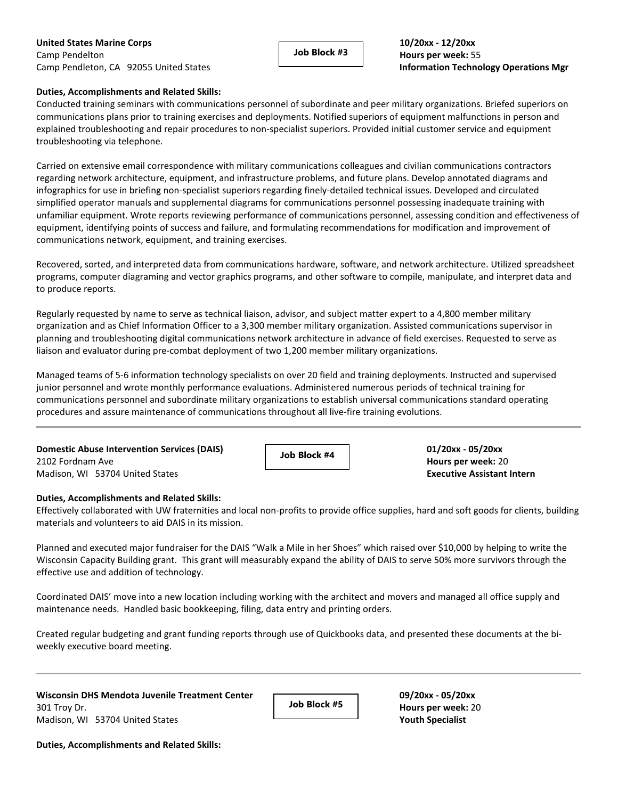**United States Marine Corps 10/20xx - 12/20xx** Camp Pendelton **Hours per week:** 55 Camp Pendleton, CA 92055 United States **Information Technology Operations Mgr**

**Job Block #3**

# **Duties, Accomplishments and Related Skills:**

Conducted training seminars with communications personnel of subordinate and peer military organizations. Briefed superiors on communications plans prior to training exercises and deployments. Notified superiors of equipment malfunctions in person and explained troubleshooting and repair procedures to non-specialist superiors. Provided initial customer service and equipment troubleshooting via telephone.

Carried on extensive email correspondence with military communications colleagues and civilian communications contractors regarding network architecture, equipment, and infrastructure problems, and future plans. Develop annotated diagrams and infographics for use in briefing non-specialist superiors regarding finely-detailed technical issues. Developed and circulated simplified operator manuals and supplemental diagrams for communications personnel possessing inadequate training with unfamiliar equipment. Wrote reports reviewing performance of communications personnel, assessing condition and effectiveness of equipment, identifying points of success and failure, and formulating recommendations for modification and improvement of communications network, equipment, and training exercises.

Recovered, sorted, and interpreted data from communications hardware, software, and network architecture. Utilized spreadsheet programs, computer diagraming and vector graphics programs, and other software to compile, manipulate, and interpret data and to produce reports.

Regularly requested by name to serve as technical liaison, advisor, and subject matter expert to a 4,800 member military organization and as Chief Information Officer to a 3,300 member military organization. Assisted communications supervisor in planning and troubleshooting digital communications network architecture in advance of field exercises. Requested to serve as liaison and evaluator during pre-combat deployment of two 1,200 member military organizations.

Managed teams of 5-6 information technology specialists on over 20 field and training deployments. Instructed and supervised junior personnel and wrote monthly performance evaluations. Administered numerous periods of technical training for communications personnel and subordinate military organizations to establish universal communications standard operating procedures and assure maintenance of communications throughout all live-fire training evolutions.

**Domestic Abuse Intervention Services (DAIS)**  $\overline{A}$  **and**  $\overline{B}$  **and**  $\overline{B}$  **and**  $\overline{B}$  **and**  $\overline{B}$  **<b>01/20xx** - **05/20xx** 2102 Fordnam Ave **Hours per week:** 20 Madison, WI 53704 United States **Executive Assistant Intern** 

**Job Block #4**

#### **Duties, Accomplishments and Related Skills:**

Effectively collaborated with UW fraternities and local non-profits to provide office supplies, hard and soft goods for clients, building materials and volunteers to aid DAIS in its mission.

Planned and executed major fundraiser for the DAIS "Walk a Mile in her Shoes" which raised over \$10,000 by helping to write the Wisconsin Capacity Building grant. This grant will measurably expand the ability of DAIS to serve 50% more survivors through the effective use and addition of technology.

Coordinated DAIS' move into a new location including working with the architect and movers and managed all office supply and maintenance needs. Handled basic bookkeeping, filing, data entry and printing orders.

Created regular budgeting and grant funding reports through use of Quickbooks data, and presented these documents at the biweekly executive board meeting.

**Wisconsin DHS Mendota Juvenile Treatment Center 09/20xx - 05/20xx** 301 Troy Dr. **Hours per week:** 20 **Hours per week:** 20 Madison, WI 53704 United States **Youth Specialist**

**Job Block #5**

**Duties, Accomplishments and Related Skills:**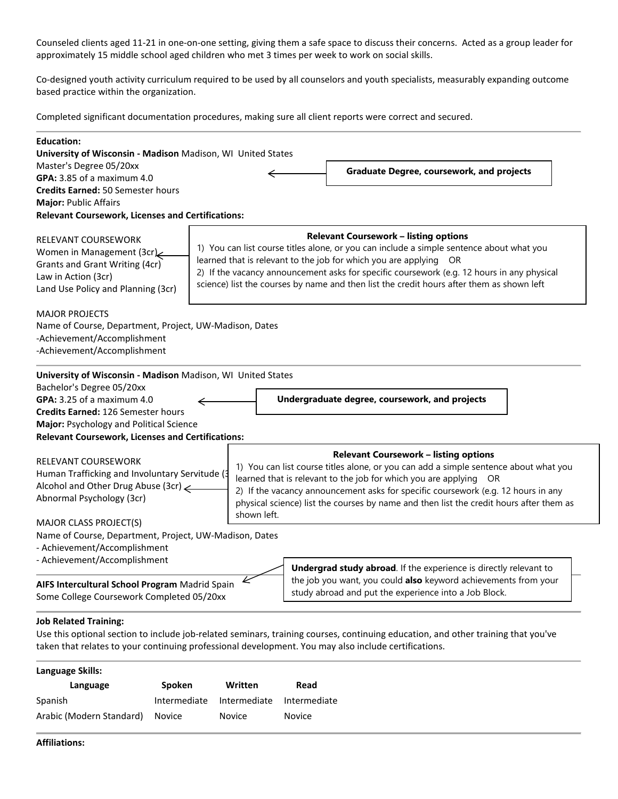Counseled clients aged 11-21 in one-on-one setting, giving them a safe space to discuss their concerns. Acted as a group leader for approximately 15 middle school aged children who met 3 times per week to work on social skills.

Co-designed youth activity curriculum required to be used by all counselors and youth specialists, measurably expanding outcome based practice within the organization.

Completed significant documentation procedures, making sure all client reports were correct and secured.

| <b>Education:</b><br>University of Wisconsin - Madison Madison, WI United States                                                                        |                                                |             |                                                                                                                                                                                                                                                                                                                                                                                                          |  |
|---------------------------------------------------------------------------------------------------------------------------------------------------------|------------------------------------------------|-------------|----------------------------------------------------------------------------------------------------------------------------------------------------------------------------------------------------------------------------------------------------------------------------------------------------------------------------------------------------------------------------------------------------------|--|
| Master's Degree 05/20xx                                                                                                                                 |                                                |             | <b>Graduate Degree, coursework, and projects</b>                                                                                                                                                                                                                                                                                                                                                         |  |
| GPA: 3.85 of a maximum 4.0                                                                                                                              |                                                |             |                                                                                                                                                                                                                                                                                                                                                                                                          |  |
| <b>Credits Earned: 50 Semester hours</b>                                                                                                                |                                                |             |                                                                                                                                                                                                                                                                                                                                                                                                          |  |
| <b>Major: Public Affairs</b>                                                                                                                            |                                                |             |                                                                                                                                                                                                                                                                                                                                                                                                          |  |
| <b>Relevant Coursework, Licenses and Certifications:</b>                                                                                                |                                                |             |                                                                                                                                                                                                                                                                                                                                                                                                          |  |
| <b>RELEVANT COURSEWORK</b><br>Women in Management (3cr)<br>Grants and Grant Writing (4cr)<br>Law in Action (3cr)<br>Land Use Policy and Planning (3cr)  |                                                |             | <b>Relevant Coursework - listing options</b><br>1) You can list course titles alone, or you can include a simple sentence about what you<br>learned that is relevant to the job for which you are applying OR<br>2) If the vacancy announcement asks for specific coursework (e.g. 12 hours in any physical<br>science) list the courses by name and then list the credit hours after them as shown left |  |
| <b>MAJOR PROJECTS</b><br>Name of Course, Department, Project, UW-Madison, Dates<br>-Achievement/Accomplishment<br>-Achievement/Accomplishment           |                                                |             |                                                                                                                                                                                                                                                                                                                                                                                                          |  |
| University of Wisconsin - Madison Madison, WI United States                                                                                             |                                                |             |                                                                                                                                                                                                                                                                                                                                                                                                          |  |
| Bachelor's Degree 05/20xx                                                                                                                               |                                                |             |                                                                                                                                                                                                                                                                                                                                                                                                          |  |
| GPA: 3.25 of a maximum 4.0                                                                                                                              | Undergraduate degree, coursework, and projects |             |                                                                                                                                                                                                                                                                                                                                                                                                          |  |
| Credits Earned: 126 Semester hours                                                                                                                      |                                                |             |                                                                                                                                                                                                                                                                                                                                                                                                          |  |
| Major: Psychology and Political Science                                                                                                                 |                                                |             |                                                                                                                                                                                                                                                                                                                                                                                                          |  |
| <b>Relevant Coursework, Licenses and Certifications:</b>                                                                                                |                                                |             |                                                                                                                                                                                                                                                                                                                                                                                                          |  |
| <b>RELEVANT COURSEWORK</b><br>Human Trafficking and Involuntary Servitude (3<br>Alcohol and Other Drug Abuse (3cr)<br>Abnormal Psychology (3cr)         |                                                | shown left. | <b>Relevant Coursework - listing options</b><br>1) You can list course titles alone, or you can add a simple sentence about what you<br>learned that is relevant to the job for which you are applying OR<br>2) If the vacancy announcement asks for specific coursework (e.g. 12 hours in any<br>physical science) list the courses by name and then list the credit hours after them as                |  |
| <b>MAJOR CLASS PROJECT(S)</b><br>Name of Course, Department, Project, UW-Madison, Dates<br>- Achievement/Accomplishment<br>- Achievement/Accomplishment |                                                |             | <b>Undergrad study abroad</b> . If the experience is directly relevant to                                                                                                                                                                                                                                                                                                                                |  |
| AIFS Intercultural School Program Madrid Spain<br>Some College Coursework Completed 05/20xx                                                             |                                                |             | the job you want, you could also keyword achievements from your<br>study abroad and put the experience into a Job Block.                                                                                                                                                                                                                                                                                 |  |

# **Job Related Training:**

Use this optional section to include job-related seminars, training courses, continuing education, and other training that you've taken that relates to your continuing professional development. You may also include certifications.

# **Language Skills:**

| Language                 | <b>Spoken</b>             | Written | Read          |
|--------------------------|---------------------------|---------|---------------|
| Spanish                  | Intermediate Intermediate |         | Intermediate  |
| Arabic (Modern Standard) | Novice                    | Novice  | <b>Novice</b> |

# **Affiliations:**